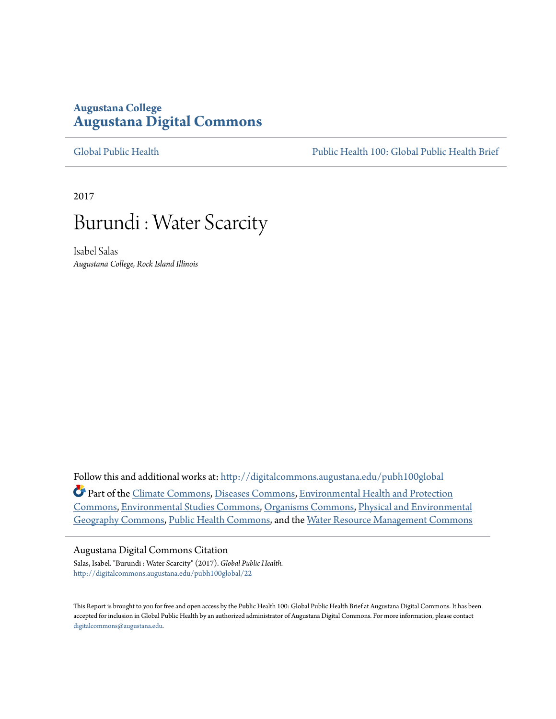# **Augustana College [Augustana Digital Commons](http://digitalcommons.augustana.edu?utm_source=digitalcommons.augustana.edu%2Fpubh100global%2F22&utm_medium=PDF&utm_campaign=PDFCoverPages)**

[Global Public Health](http://digitalcommons.augustana.edu/pubh100global?utm_source=digitalcommons.augustana.edu%2Fpubh100global%2F22&utm_medium=PDF&utm_campaign=PDFCoverPages) [Public Health 100: Global Public Health Brief](http://digitalcommons.augustana.edu/pubh100?utm_source=digitalcommons.augustana.edu%2Fpubh100global%2F22&utm_medium=PDF&utm_campaign=PDFCoverPages)

2017

# Burundi : Water Scarcity

Isabel Salas *Augustana College, Rock Island Illinois*

Follow this and additional works at: [http://digitalcommons.augustana.edu/pubh100global](http://digitalcommons.augustana.edu/pubh100global?utm_source=digitalcommons.augustana.edu%2Fpubh100global%2F22&utm_medium=PDF&utm_campaign=PDFCoverPages) Part of the [Climate Commons,](http://network.bepress.com/hgg/discipline/188?utm_source=digitalcommons.augustana.edu%2Fpubh100global%2F22&utm_medium=PDF&utm_campaign=PDFCoverPages) [Diseases Commons](http://network.bepress.com/hgg/discipline/813?utm_source=digitalcommons.augustana.edu%2Fpubh100global%2F22&utm_medium=PDF&utm_campaign=PDFCoverPages), [Environmental Health and Protection](http://network.bepress.com/hgg/discipline/172?utm_source=digitalcommons.augustana.edu%2Fpubh100global%2F22&utm_medium=PDF&utm_campaign=PDFCoverPages) [Commons,](http://network.bepress.com/hgg/discipline/172?utm_source=digitalcommons.augustana.edu%2Fpubh100global%2F22&utm_medium=PDF&utm_campaign=PDFCoverPages) [Environmental Studies Commons](http://network.bepress.com/hgg/discipline/1333?utm_source=digitalcommons.augustana.edu%2Fpubh100global%2F22&utm_medium=PDF&utm_campaign=PDFCoverPages), [Organisms Commons,](http://network.bepress.com/hgg/discipline/907?utm_source=digitalcommons.augustana.edu%2Fpubh100global%2F22&utm_medium=PDF&utm_campaign=PDFCoverPages) [Physical and Environmental](http://network.bepress.com/hgg/discipline/355?utm_source=digitalcommons.augustana.edu%2Fpubh100global%2F22&utm_medium=PDF&utm_campaign=PDFCoverPages) [Geography Commons](http://network.bepress.com/hgg/discipline/355?utm_source=digitalcommons.augustana.edu%2Fpubh100global%2F22&utm_medium=PDF&utm_campaign=PDFCoverPages), [Public Health Commons,](http://network.bepress.com/hgg/discipline/738?utm_source=digitalcommons.augustana.edu%2Fpubh100global%2F22&utm_medium=PDF&utm_campaign=PDFCoverPages) and the [Water Resource Management Commons](http://network.bepress.com/hgg/discipline/1057?utm_source=digitalcommons.augustana.edu%2Fpubh100global%2F22&utm_medium=PDF&utm_campaign=PDFCoverPages)

# Augustana Digital Commons Citation

Salas, Isabel. "Burundi : Water Scarcity" (2017). *Global Public Health.* [http://digitalcommons.augustana.edu/pubh100global/22](http://digitalcommons.augustana.edu/pubh100global/22?utm_source=digitalcommons.augustana.edu%2Fpubh100global%2F22&utm_medium=PDF&utm_campaign=PDFCoverPages)

This Report is brought to you for free and open access by the Public Health 100: Global Public Health Brief at Augustana Digital Commons. It has been accepted for inclusion in Global Public Health by an authorized administrator of Augustana Digital Commons. For more information, please contact [digitalcommons@augustana.edu.](mailto:digitalcommons@augustana.edu)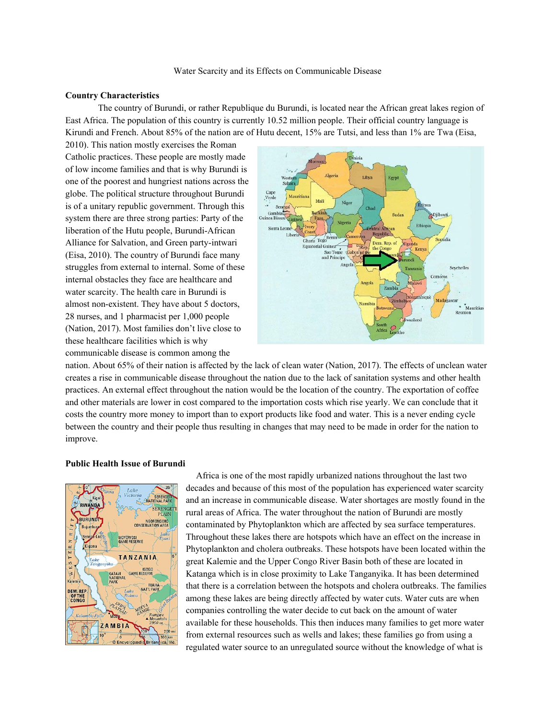#### **Country Characteristics**

The country of Burundi, or rather Republique du Burundi, is located near the African great lakes region of East Africa. The population of this country is currently 10.52 million people. Their official country language is Kirundi and French. About 85% of the nation are of Hutu decent, 15% are Tutsi, and less than 1% are Twa (Eisa,

2010). This nation mostly exercises the Roman Catholic practices. These people are mostly made of low income families and that is why Burundi is one of the poorest and hungriest nations across the globe. The political structure throughout Burundi is of a unitary republic government. Through this system there are three strong parties: Party of the liberation of the Hutu people, Burundi-African Alliance for Salvation, and Green party-intwari (Eisa, 2010). The country of Burundi face many struggles from external to internal. Some of these internal obstacles they face are healthcare and water scarcity. The health care in Burundi is almost non-existent. They have about 5 doctors, 28 nurses, and 1 pharmacist per 1,000 people (Nation, 2017). Most families don't live close to these healthcare facilities which is why communicable disease is common among the



nation. About 65% of their nation is affected by the lack of clean water (Nation, 2017). The effects of unclean water creates a rise in communicable disease throughout the nation due to the lack of sanitation systems and other health practices. An external effect throughout the nation would be the location of the country. The exportation of coffee and other materials are lower in cost compared to the importation costs which rise yearly. We can conclude that it costs the country more money to import than to export products like food and water. This is a never ending cycle between the country and their people thus resulting in changes that may need to be made in order for the nation to improve.

#### **Public Health Issue of Burundi**



Africa is one of the most rapidly urbanized nations throughout the last two decades and because of this most of the population has experienced water scarcity and an increase in communicable disease. Water shortages are mostly found in the rural areas of Africa. The water throughout the nation of Burundi are mostly contaminated by Phytoplankton which are affected by sea surface temperatures. Throughout these lakes there are hotspots which have an effect on the increase in Phytoplankton and cholera outbreaks. These hotspots have been located within the great Kalemie and the Upper Congo River Basin both of these are located in Katanga which is in close proximity to Lake Tanganyika. It has been determined that there is a correlation between the hotspots and cholera outbreaks. The families among these lakes are being directly affected by water cuts. Water cuts are when companies controlling the water decide to cut back on the amount of water available for these households. This then induces many families to get more water from external resources such as wells and lakes; these families go from using a regulated water source to an unregulated source without the knowledge of what is